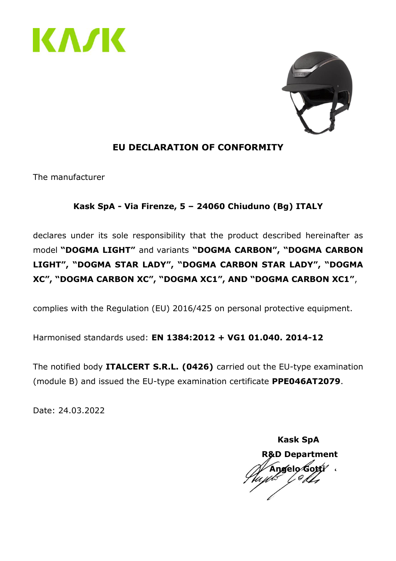



### **EU DECLARATION OF CONFORMITY**

The manufacturer

### **Kask SpA - Via Firenze, 5 – 24060 Chiuduno (Bg) ITALY**

declares under its sole responsibility that the product described hereinafter as model **"DOGMA LIGHT"** and variants **"DOGMA CARBON", "DOGMA CARBON LIGHT", "DOGMA STAR LADY", "DOGMA CARBON STAR LADY", "DOGMA XC", "DOGMA CARBON XC", "DOGMA XC1", AND "DOGMA CARBON XC1"**,

complies with the Regulation (EU) 2016/425 on personal protective equipment.

Harmonised standards used: **EN 1384:2012 + VG1 01.040. 2014-12**

The notified body **ITALCERT S.R.L. (0426)** carried out the EU-type examination (module B) and issued the EU-type examination certificate **PPE046AT2079**.

 **Kask SpA R&D Department Angelo Gotti**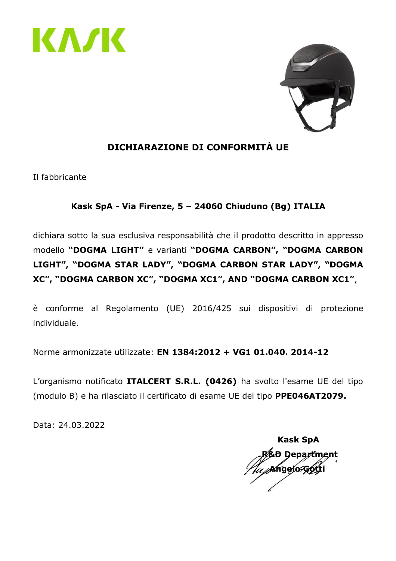



## **DICHIARAZIONE DI CONFORMITÀ UE**

Il fabbricante

### **Kask SpA - Via Firenze, 5 – 24060 Chiuduno (Bg) ITALIA**

dichiara sotto la sua esclusiva responsabilità che il prodotto descritto in appresso modello **"DOGMA LIGHT"** e varianti **"DOGMA CARBON", "DOGMA CARBON LIGHT", "DOGMA STAR LADY", "DOGMA CARBON STAR LADY", "DOGMA XC", "DOGMA CARBON XC", "DOGMA XC1", AND "DOGMA CARBON XC1"**,

è conforme al Regolamento (UE) 2016/425 sui dispositivi di protezione individuale.

Norme armonizzate utilizzate: **EN 1384:2012 + VG1 01.040. 2014-12**

L'organismo notificato **ITALCERT S.R.L. (0426)** ha svolto l'esame UE del tipo (modulo B) e ha rilasciato il certificato di esame UE del tipo **PPE046AT2079.**

 **Kask SpA Department Angelo Gotti**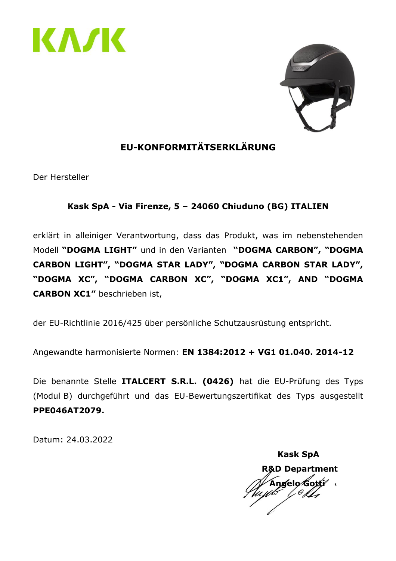



# **EU-KONFORMITÄTSERKLÄRUNG**

Der Hersteller

### **Kask SpA - Via Firenze, 5 – 24060 Chiuduno (BG) ITALIEN**

erklärt in alleiniger Verantwortung, dass das Produkt, was im nebenstehenden Modell **"DOGMA LIGHT"** und in den Varianten **"DOGMA CARBON", "DOGMA CARBON LIGHT", "DOGMA STAR LADY", "DOGMA CARBON STAR LADY", "DOGMA XC", "DOGMA CARBON XC", "DOGMA XC1", AND "DOGMA CARBON XC1"** beschrieben ist,

der EU-Richtlinie 2016/425 über persönliche Schutzausrüstung entspricht.

Angewandte harmonisierte Normen: **EN 1384:2012 + VG1 01.040. 2014-12**

Die benannte Stelle **ITALCERT S.R.L. (0426)** hat die EU-Prüfung des Typs (Modul B) durchgeführt und das EU-Bewertungszertifikat des Typs ausgestellt **PPE046AT2079.**

 **Kask SpA R&D Department Angelo Gotti**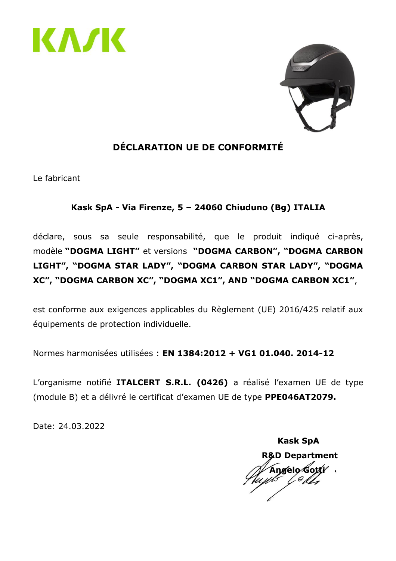



# **DÉCLARATION UE DE CONFORMITÉ**

Le fabricant

#### **Kask SpA - Via Firenze, 5 – 24060 Chiuduno (Bg) ITALIA**

déclare, sous sa seule responsabilité, que le produit indiqué ci-après, modèle **"DOGMA LIGHT"** et versions **"DOGMA CARBON", "DOGMA CARBON LIGHT", "DOGMA STAR LADY", "DOGMA CARBON STAR LADY", "DOGMA XC", "DOGMA CARBON XC", "DOGMA XC1", AND "DOGMA CARBON XC1"**,

est conforme aux exigences applicables du Règlement (UE) 2016/425 relatif aux équipements de protection individuelle.

Normes harmonisées utilisées : **EN 1384:2012 + VG1 01.040. 2014-12**

L'organisme notifié **ITALCERT S.R.L. (0426)** a réalisé l'examen UE de type (module B) et a délivré le certificat d'examen UE de type **PPE046AT2079.**

 **Kask SpA R&D Department Angelo Gotti**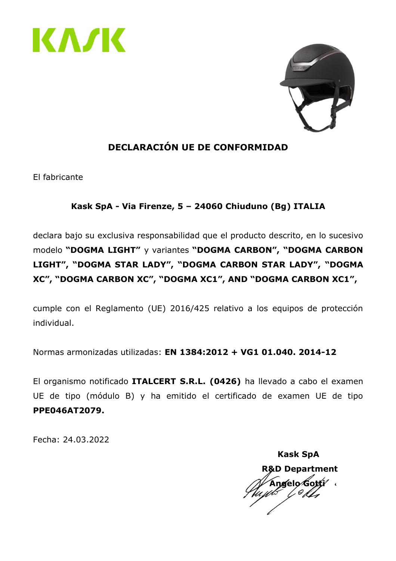



# **DECLARACIÓN UE DE CONFORMIDAD**

El fabricante

### **Kask SpA - Via Firenze, 5 – 24060 Chiuduno (Bg) ITALIA**

declara bajo su exclusiva responsabilidad que el producto descrito, en lo sucesivo modelo **"DOGMA LIGHT"** y variantes **"DOGMA CARBON", "DOGMA CARBON LIGHT", "DOGMA STAR LADY", "DOGMA CARBON STAR LADY", "DOGMA XC", "DOGMA CARBON XC", "DOGMA XC1", AND "DOGMA CARBON XC1",**

cumple con el Reglamento (UE) 2016/425 relativo a los equipos de protección individual.

Normas armonizadas utilizadas: **EN 1384:2012 + VG1 01.040. 2014-12**

El organismo notificado **ITALCERT S.R.L. (0426)** ha llevado a cabo el examen UE de tipo (módulo B) y ha emitido el certificado de examen UE de tipo **PPE046AT2079.**

Fecha: 24.03.2022

 **Kask SpA R&D Department Angelo Gotti**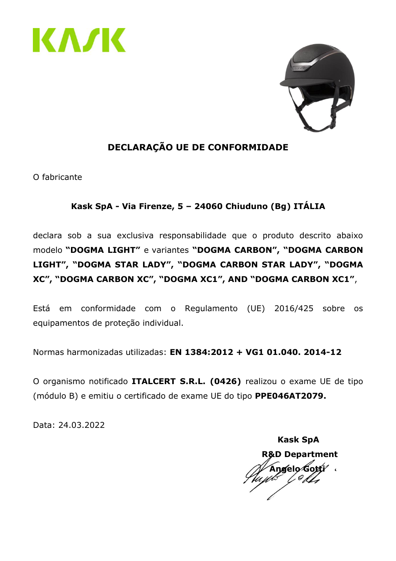



## **DECLARAÇÃO UE DE CONFORMIDADE**

O fabricante

### **Kask SpA - Via Firenze, 5 – 24060 Chiuduno (Bg) ITÁLIA**

declara sob a sua exclusiva responsabilidade que o produto descrito abaixo modelo **"DOGMA LIGHT"** e variantes **"DOGMA CARBON", "DOGMA CARBON LIGHT", "DOGMA STAR LADY", "DOGMA CARBON STAR LADY", "DOGMA XC", "DOGMA CARBON XC", "DOGMA XC1", AND "DOGMA CARBON XC1"**,

Está em conformidade com o Regulamento (UE) 2016/425 sobre os equipamentos de proteção individual.

Normas harmonizadas utilizadas: **EN 1384:2012 + VG1 01.040. 2014-12**

O organismo notificado **ITALCERT S.R.L. (0426)** realizou o exame UE de tipo (módulo B) e emitiu o certificado de exame UE do tipo **PPE046AT2079.**

 **Kask SpA R&D Department Angelo Gotti**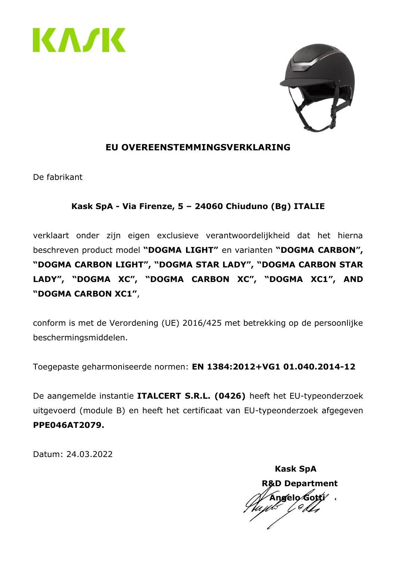



#### **EU OVEREENSTEMMINGSVERKLARING**

De fabrikant

#### **Kask SpA - Via Firenze, 5 – 24060 Chiuduno (Bg) ITALIE**

verklaart onder zijn eigen exclusieve verantwoordelijkheid dat het hierna beschreven product model **"DOGMA LIGHT"** en varianten **"DOGMA CARBON", "DOGMA CARBON LIGHT", "DOGMA STAR LADY", "DOGMA CARBON STAR LADY", "DOGMA XC", "DOGMA CARBON XC", "DOGMA XC1", AND "DOGMA CARBON XC1"**,

conform is met de Verordening (UE) 2016/425 met betrekking op de persoonlijke beschermingsmiddelen.

Toegepaste geharmoniseerde normen: **EN 1384:2012+VG1 01.040.2014-12**

De aangemelde instantie **ITALCERT S.R.L. (0426)** heeft het EU-typeonderzoek uitgevoerd (module B) en heeft het certificaat van EU-typeonderzoek afgegeven **PPE046AT2079.**

 **Kask SpA R&D Department Angelo Gotti**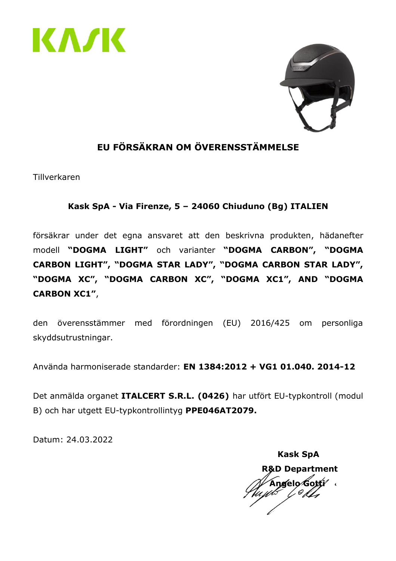



# **EU FÖRSÄKRAN OM ÖVERENSSTÄMMELSE**

Tillverkaren

#### **Kask SpA - Via Firenze, 5 – 24060 Chiuduno (Bg) ITALIEN**

försäkrar under det egna ansvaret att den beskrivna produkten, hädanefter modell **"DOGMA LIGHT"** och varianter **"DOGMA CARBON", "DOGMA CARBON LIGHT", "DOGMA STAR LADY", "DOGMA CARBON STAR LADY", "DOGMA XC", "DOGMA CARBON XC", "DOGMA XC1", AND "DOGMA CARBON XC1"**,

den överensstämmer med förordningen (EU) 2016/425 om personliga skyddsutrustningar.

Använda harmoniserade standarder: **EN 1384:2012 + VG1 01.040. 2014-12**

Det anmälda organet **ITALCERT S.R.L. (0426)** har utfört EU-typkontroll (modul B) och har utgett EU-typkontrollintyg **PPE046AT2079.**

 **Kask SpA R&D Department Angelo Gotti**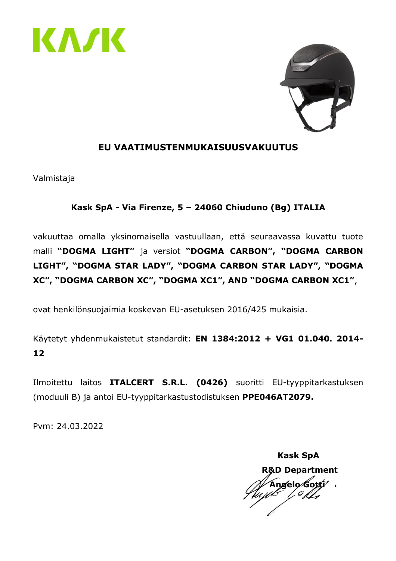



#### **EU VAATIMUSTENMUKAISUUSVAKUUTUS**

Valmistaja

#### **Kask SpA - Via Firenze, 5 – 24060 Chiuduno (Bg) ITALIA**

vakuuttaa omalla yksinomaisella vastuullaan, että seuraavassa kuvattu tuote malli **"DOGMA LIGHT"** ja versiot **"DOGMA CARBON", "DOGMA CARBON LIGHT", "DOGMA STAR LADY", "DOGMA CARBON STAR LADY", "DOGMA XC", "DOGMA CARBON XC", "DOGMA XC1", AND "DOGMA CARBON XC1"**,

ovat henkilönsuojaimia koskevan EU-asetuksen 2016/425 mukaisia.

Käytetyt yhdenmukaistetut standardit: **EN 1384:2012 + VG1 01.040. 2014- 12**

Ilmoitettu laitos **ITALCERT S.R.L. (0426)** suoritti EU-tyyppitarkastuksen (moduuli B) ja antoi EU-tyyppitarkastustodistuksen **PPE046AT2079.**

Pvm: 24.03.2022

 **Kask SpA R&D Department Angelo Gotti**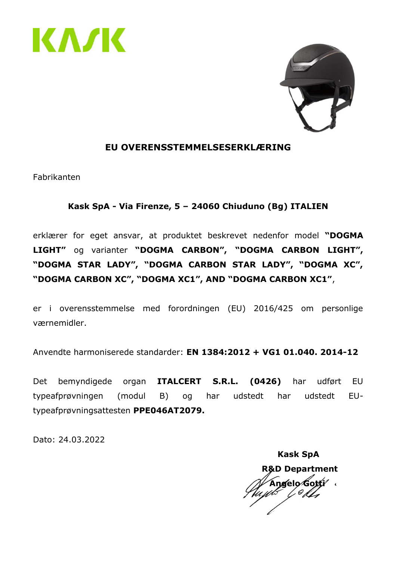



#### **EU OVERENSSTEMMELSESERKLÆRING**

Fabrikanten

#### **Kask SpA - Via Firenze, 5 – 24060 Chiuduno (Bg) ITALIEN**

erklærer for eget ansvar, at produktet beskrevet nedenfor model **"DOGMA LIGHT"** og varianter **"DOGMA CARBON", "DOGMA CARBON LIGHT", "DOGMA STAR LADY", "DOGMA CARBON STAR LADY", "DOGMA XC", "DOGMA CARBON XC", "DOGMA XC1", AND "DOGMA CARBON XC1"**,

er i overensstemmelse med forordningen (EU) 2016/425 om personlige værnemidler.

Anvendte harmoniserede standarder: **EN 1384:2012 + VG1 01.040. 2014-12**

Det bemyndigede organ **ITALCERT S.R.L. (0426)** har udført EU typeafprøvningen (modul B) og har udstedt har udstedt EUtypeafprøvningsattesten **PPE046AT2079.**

Dato: 24.03.2022

 **Kask SpA R&D Department Angelo Gotti**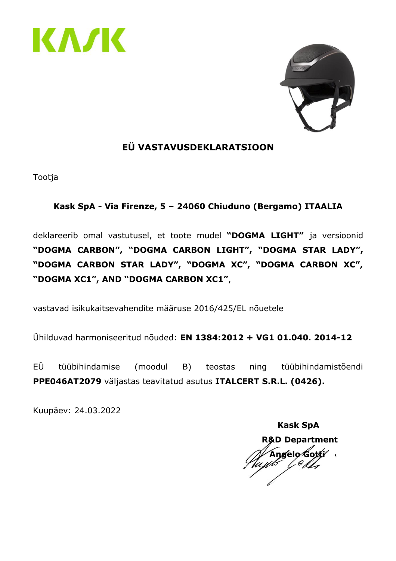



### **EÜ VASTAVUSDEKLARATSIOON**

Tootja

#### **Kask SpA - Via Firenze, 5 – 24060 Chiuduno (Bergamo) ITAALIA**

deklareerib omal vastutusel, et toote mudel **"DOGMA LIGHT"** ja versioonid **"DOGMA CARBON", "DOGMA CARBON LIGHT", "DOGMA STAR LADY", "DOGMA CARBON STAR LADY", "DOGMA XC", "DOGMA CARBON XC", "DOGMA XC1", AND "DOGMA CARBON XC1"**,

vastavad isikukaitsevahendite määruse 2016/425/EL nõuetele

Ühilduvad harmoniseeritud nõuded: **EN 1384:2012 + VG1 01.040. 2014-12**

EÜ tüübihindamise (moodul B) teostas ning tüübihindamistõendi **PPE046AT2079** väljastas teavitatud asutus **ITALCERT S.R.L. (0426).**

Kuupäev: 24.03.2022

 **Kask SpA R&D Department Angelo Gotti**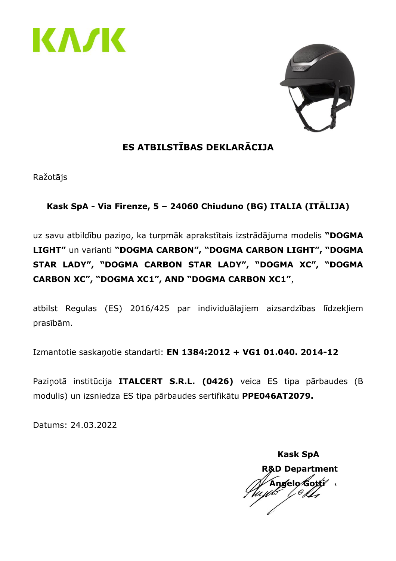



# **ES ATBILSTĪBAS DEKLARĀCIJA**

Ražotājs

### **Kask SpA - Via Firenze, 5 – 24060 Chiuduno (BG) ITALIA (ITĀLIJA)**

uz savu atbildību paziņo, ka turpmāk aprakstītais izstrādājuma modelis **"DOGMA LIGHT"** un varianti **"DOGMA CARBON", "DOGMA CARBON LIGHT", "DOGMA STAR LADY", "DOGMA CARBON STAR LADY", "DOGMA XC", "DOGMA CARBON XC", "DOGMA XC1", AND "DOGMA CARBON XC1"**,

atbilst Regulas (ES) 2016/425 par individuālajiem aizsardzības līdzekļiem prasībām.

Izmantotie saskaņotie standarti: **EN 1384:2012 + VG1 01.040. 2014-12**

Paziņotā institūcija **ITALCERT S.R.L. (0426)** veica ES tipa pārbaudes (B modulis) un izsniedza ES tipa pārbaudes sertifikātu **PPE046AT2079.**

 **Kask SpA R&D Department Angelo Gotti**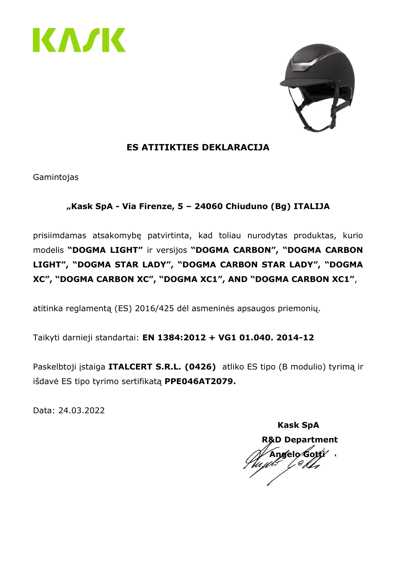



### **ES ATITIKTIES DEKLARACIJA**

Gamintojas

### **"Kask SpA - Via Firenze, 5 – 24060 Chiuduno (Bg) ITALIJA**

prisiimdamas atsakomybę patvirtinta, kad toliau nurodytas produktas, kurio modelis **"DOGMA LIGHT"** ir versijos **"DOGMA CARBON", "DOGMA CARBON LIGHT", "DOGMA STAR LADY", "DOGMA CARBON STAR LADY", "DOGMA XC", "DOGMA CARBON XC", "DOGMA XC1", AND "DOGMA CARBON XC1"**,

atitinka reglamentą (ES) 2016/425 dėl asmeninės apsaugos priemonių.

Taikyti darnieji standartai: **EN 1384:2012 + VG1 01.040. 2014-12**

Paskelbtoji įstaiga **ITALCERT S.R.L. (0426)** atliko ES tipo (B modulio) tyrimą ir išdavė ES tipo tyrimo sertifikatą **PPE046AT2079.**

 **Kask SpA R&D Department Angelo Gotti**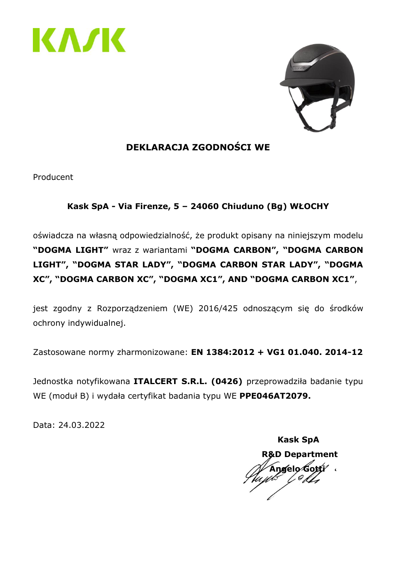



# **DEKLARACJA ZGODNOŚCI WE**

Producent

### **Kask SpA - Via Firenze, 5 – 24060 Chiuduno (Bg) WŁOCHY**

oświadcza na własną odpowiedzialność, że produkt opisany na niniejszym modelu **"DOGMA LIGHT"** wraz z wariantami **"DOGMA CARBON", "DOGMA CARBON LIGHT", "DOGMA STAR LADY", "DOGMA CARBON STAR LADY", "DOGMA XC", "DOGMA CARBON XC", "DOGMA XC1", AND "DOGMA CARBON XC1"**,

jest zgodny z Rozporządzeniem (WE) 2016/425 odnoszącym się do środków ochrony indywidualnej.

Zastosowane normy zharmonizowane: **EN 1384:2012 + VG1 01.040. 2014-12**

Jednostka notyfikowana **ITALCERT S.R.L. (0426)** przeprowadziła badanie typu WE (moduł B) i wydała certyfikat badania typu WE **PPE046AT2079.**

 **Kask SpA R&D Department Angelo Gotti**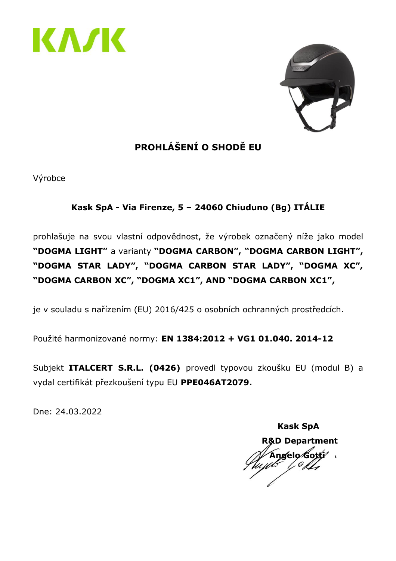



# **PROHLÁŠENÍ O SHODĚ EU**

Výrobce

## **Kask SpA - Via Firenze, 5 – 24060 Chiuduno (Bg) ITÁLIE**

prohlašuje na svou vlastní odpovědnost, že výrobek označený níže jako model **"DOGMA LIGHT"** a varianty **"DOGMA CARBON", "DOGMA CARBON LIGHT", "DOGMA STAR LADY", "DOGMA CARBON STAR LADY", "DOGMA XC", "DOGMA CARBON XC", "DOGMA XC1", AND "DOGMA CARBON XC1",**

je v souladu s nařízením (EU) 2016/425 o osobních ochranných prostředcích.

Použité harmonizované normy: **EN 1384:2012 + VG1 01.040. 2014-12**

Subjekt **ITALCERT S.R.L. (0426)** provedl typovou zkoušku EU (modul B) a vydal certifikát přezkoušení typu EU **PPE046AT2079.**

Dne: 24.03.2022

 **Kask SpA R&D Department Angelo Gotti**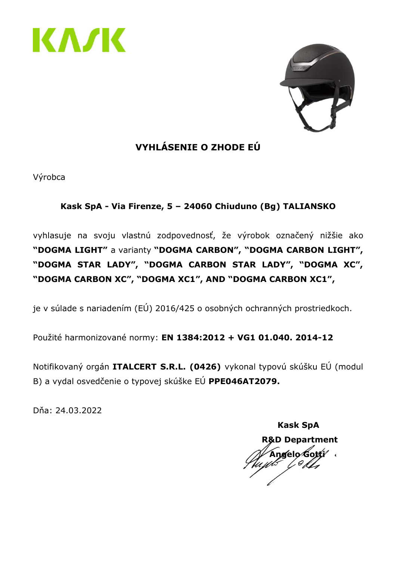



# **VYHLÁSENIE O ZHODE EÚ**

Výrobca

### **Kask SpA - Via Firenze, 5 – 24060 Chiuduno (Bg) TALIANSKO**

vyhlasuje na svoju vlastnú zodpovednosť, že výrobok označený nižšie ako **"DOGMA LIGHT"** a varianty **"DOGMA CARBON", "DOGMA CARBON LIGHT", "DOGMA STAR LADY", "DOGMA CARBON STAR LADY", "DOGMA XC", "DOGMA CARBON XC", "DOGMA XC1", AND "DOGMA CARBON XC1",**

je v súlade s nariadením (EÚ) 2016/425 o osobných ochranných prostriedkoch.

Použité harmonizované normy: **EN 1384:2012 + VG1 01.040. 2014-12**

Notifikovaný orgán **ITALCERT S.R.L. (0426)** vykonal typovú skúšku EÚ (modul B) a vydal osvedčenie o typovej skúške EÚ **PPE046AT2079.**

Dňa: 24.03.2022

 **Kask SpA R&D Department Angelo Gotti**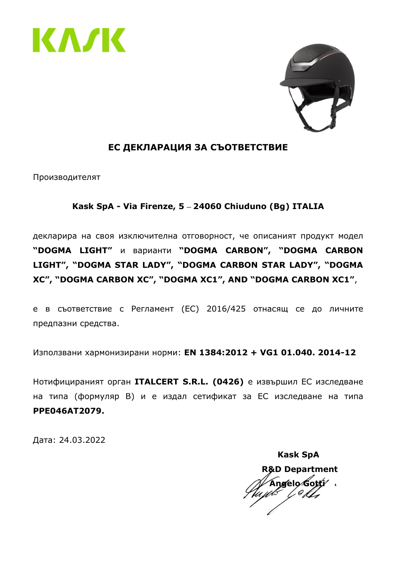



#### **ЕС ДЕКЛАРАЦИЯ ЗА СЪОТВЕТСТВИЕ**

Производителят

#### **Kask SpA - Via Firenze, 5 24060 Chiuduno (Bg) ITALIA**

декларира на своя изключителна отговорност, че описаният продукт модел **"DOGMA LIGHT"** и варианти **"DOGMA CARBON", "DOGMA CARBON LIGHT", "DOGMA STAR LADY", "DOGMA CARBON STAR LADY", "DOGMA XC", "DOGMA CARBON XC", "DOGMA XC1", AND "DOGMA CARBON XC1"**,

е в съответствие с Регламент (ЕС) 2016/425 отнасящ се до личните предпазни средства.

Използвани хармонизирани норми: **EN 1384:2012 + VG1 01.040. 2014-12**

Нотифицираният орган **ITALCERT S.R.L. (0426)** е извършил ЕС изследване на типа (формуляр B) и е издал сетификат за ЕС изследване на типа **PPE046AT2079.**

Дата: 24.03.2022

 **Kask SpA R&D Department Angelo Gotti**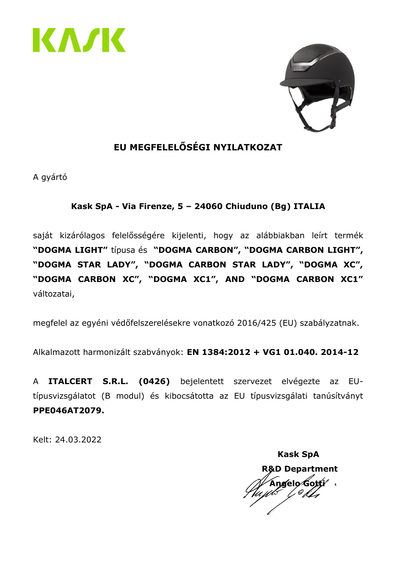



# **EU MEGFELELŐSÉGI NYILATKOZAT**

A gyártó

#### **Kask SpA - Via Firenze, 5 – 24060 Chiuduno (Bg) ITALIA**

saját kizárólagos felelősségére kijelenti, hogy az alábbiakban leírt termék **"DOGMA LIGHT"** típusa és **"DOGMA CARBON", "DOGMA CARBON LIGHT", "DOGMA STAR LADY", "DOGMA CARBON STAR LADY", "DOGMA XC", "DOGMA CARBON XC", "DOGMA XC1", AND "DOGMA CARBON XC1"** változatai,

megfelel az egyéni védőfelszerelésekre vonatkozó 2016/425 (EU) szabályzatnak.

Alkalmazott harmonizált szabványok: **EN 1384:2012 + VG1 01.040. 2014-12**

A **ITALCERT S.R.L. (0426)** bejelentett szervezet elvégezte az EUtípusvizsgálatot (B modul) és kibocsátotta az EU típusvizsgálati tanúsítványt **PPE046AT2079.**

Kelt: 24.03.2022

 **Kask SpA R&D Department Angelo Gotti**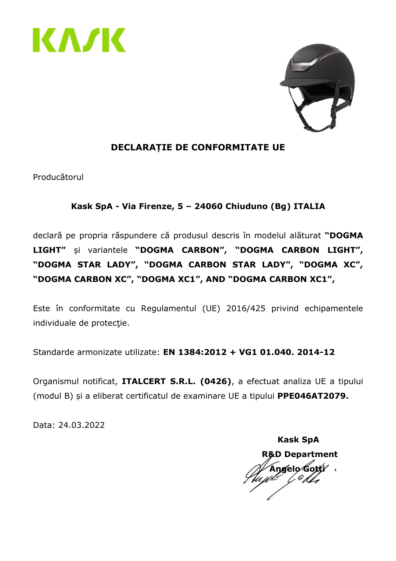



### **DECLARAȚIE DE CONFORMITATE UE**

Producătorul

#### **Kask SpA - Via Firenze, 5 – 24060 Chiuduno (Bg) ITALIA**

declară pe propria răspundere că produsul descris în modelul alăturat **"DOGMA LIGHT"** și variantele **"DOGMA CARBON", "DOGMA CARBON LIGHT", "DOGMA STAR LADY", "DOGMA CARBON STAR LADY", "DOGMA XC", "DOGMA CARBON XC", "DOGMA XC1", AND "DOGMA CARBON XC1",**

Este în conformitate cu Regulamentul (UE) 2016/425 privind echipamentele individuale de protecție.

Standarde armonizate utilizate: **EN 1384:2012 + VG1 01.040. 2014-12**

Organismul notificat, **ITALCERT S.R.L. (0426)**, a efectuat analiza UE a tipului (modul B) și a eliberat certificatul de examinare UE a tipului **PPE046AT2079.**

 **Kask SpA R&D Department Angelo Gotti**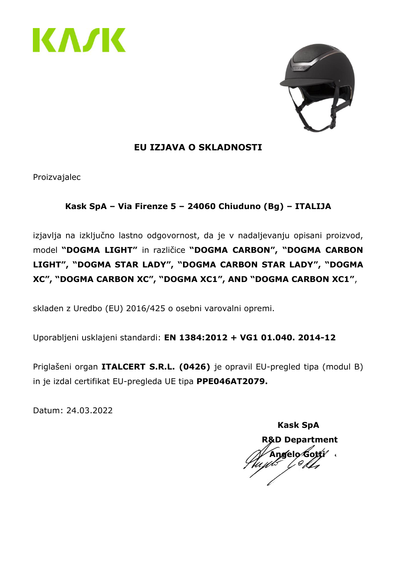



#### **EU IZJAVA O SKLADNOSTI**

Proizvajalec

### **Kask SpA – Via Firenze 5 – 24060 Chiuduno (Bg) – ITALIJA**

izjavlja na izključno lastno odgovornost, da je v nadaljevanju opisani proizvod, model **"DOGMA LIGHT"** in različice **"DOGMA CARBON", "DOGMA CARBON LIGHT", "DOGMA STAR LADY", "DOGMA CARBON STAR LADY", "DOGMA XC", "DOGMA CARBON XC", "DOGMA XC1", AND "DOGMA CARBON XC1"**,

skladen z Uredbo (EU) 2016/425 o osebni varovalni opremi.

Uporabljeni usklajeni standardi: **EN 1384:2012 + VG1 01.040. 2014-12**

Priglašeni organ **ITALCERT S.R.L. (0426)** je opravil EU-pregled tipa (modul B) in je izdal certifikat EU-pregleda UE tipa **PPE046AT2079.**

 **Kask SpA R&D Department Angelo Gotti**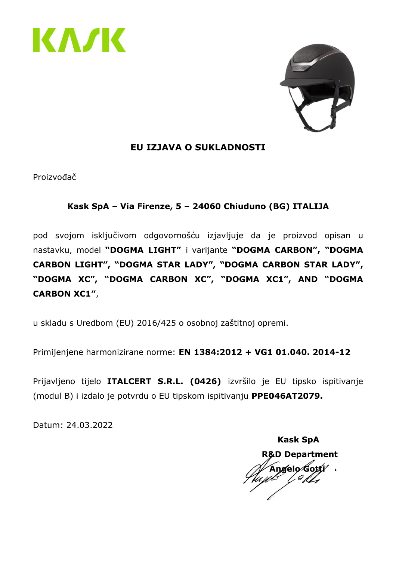



#### **EU IZJAVA O SUKLADNOSTI**

Proizvođač

#### **Kask SpA – Via Firenze, 5 – 24060 Chiuduno (BG) ITALIJA**

pod svojom isključivom odgovornošću izjavljuje da je proizvod opisan u nastavku, model **"DOGMA LIGHT"** i varijante **"DOGMA CARBON", "DOGMA CARBON LIGHT", "DOGMA STAR LADY", "DOGMA CARBON STAR LADY", "DOGMA XC", "DOGMA CARBON XC", "DOGMA XC1", AND "DOGMA CARBON XC1"**,

u skladu s Uredbom (EU) 2016/425 o osobnoj zaštitnoj opremi.

Primijenjene harmonizirane norme: **EN 1384:2012 + VG1 01.040. 2014-12**

Prijavljeno tijelo **ITALCERT S.R.L. (0426)** izvršilo je EU tipsko ispitivanje (modul B) i izdalo je potvrdu o EU tipskom ispitivanju **PPE046AT2079.**

 **Kask SpA R&D Department Angelo Gotti**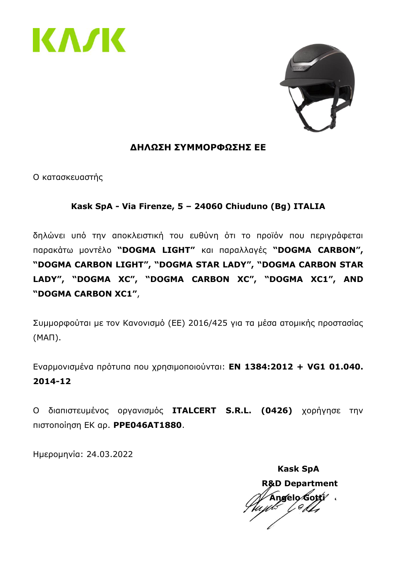



#### **ΔΗΛΩΣΗ ΣΥΜΜΟΡΦΩΣΗΣ ΕΕ**

Ο κατασκευαστής

#### **Kask SpA - Via Firenze, 5 – 24060 Chiuduno (Bg) ITALIA**

δηλώνει υπό την αποκλειστική του ευθύνη ότι το προϊόν που περιγράφεται παρακάτω μοντέλο **"DOGMA LIGHT"** και παραλλαγές **"DOGMA CARBON", "DOGMA CARBON LIGHT", "DOGMA STAR LADY", "DOGMA CARBON STAR LADY", "DOGMA XC", "DOGMA CARBON XC", "DOGMA XC1", AND "DOGMA CARBON XC1"**,

Συμμορφούται με τον Κανονισμό (ΕΕ) 2016/425 για τα μέσα ατομικής προστασίας (ΜΑΠ).

Εναρμονισμένα πρότυπα που χρησιμοποιούνται: **EN 1384:2012 + VG1 01.040. 2014-12**

Ο διαπιστευμένος οργανισμός **ITALCERT S.R.L. (0426)** χορήγησε την πιστοποίηση ΕΚ αρ. **PPE046AT1880**.

Ημερομηνία: 24.03.2022

 **Kask SpA R&D Department Angelo Gotti**